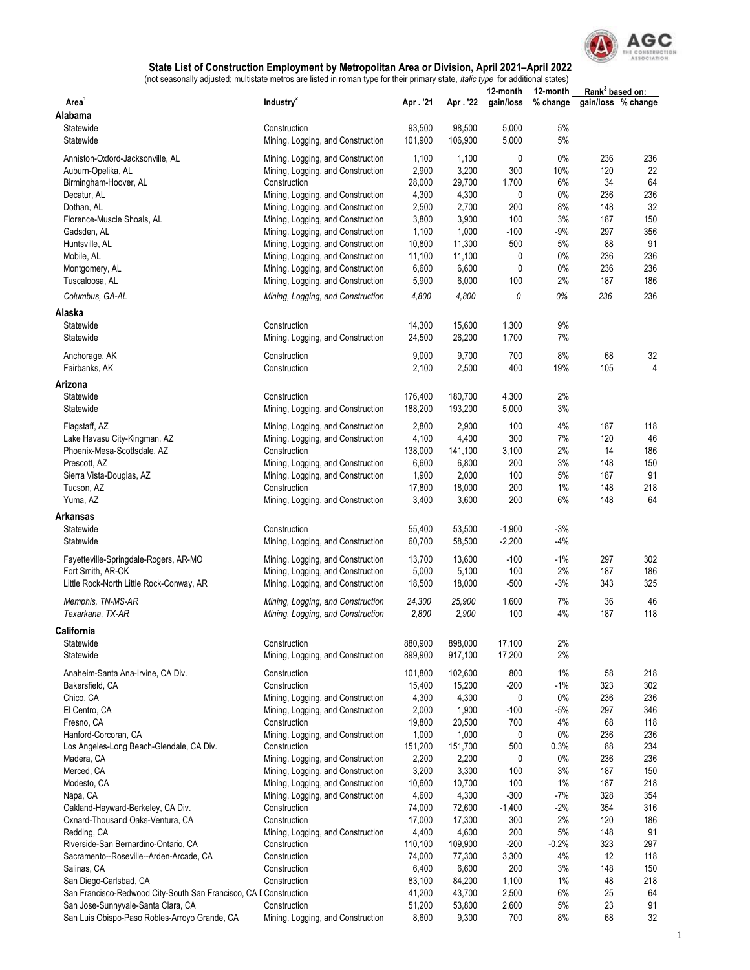

|                                                                   |                                                                        |                    |                    | 12-month             | 12-month       | Rank <sup>3</sup> based on: |            |
|-------------------------------------------------------------------|------------------------------------------------------------------------|--------------------|--------------------|----------------------|----------------|-----------------------------|------------|
| Area'                                                             | Industry <sup>2</sup>                                                  | Apr. '21           | Apr. 22            | gain/loss            | % change       | gain/loss                   | % change   |
| Alabama                                                           |                                                                        |                    |                    |                      |                |                             |            |
| Statewide<br>Statewide                                            | Construction<br>Mining, Logging, and Construction                      | 93,500<br>101,900  | 98,500<br>106,900  | 5,000<br>5,000       | 5%<br>5%       |                             |            |
|                                                                   |                                                                        |                    |                    |                      |                |                             |            |
| Anniston-Oxford-Jacksonville, AL                                  | Mining, Logging, and Construction                                      | 1,100              | 1,100              | 0                    | $0\%$          | 236                         | 236        |
| Auburn-Opelika, AL                                                | Mining, Logging, and Construction                                      | 2,900              | 3,200              | 300                  | 10%            | 120                         | 22         |
| Birmingham-Hoover, AL                                             | Construction                                                           | 28,000             | 29,700             | 1,700                | 6%             | 34                          | 64         |
| Decatur, AL                                                       | Mining, Logging, and Construction<br>Mining, Logging, and Construction | 4,300<br>2,500     | 4,300<br>2,700     | 0<br>200             | $0\%$<br>8%    | 236<br>148                  | 236<br>32  |
| Dothan, AL<br>Florence-Muscle Shoals, AL                          | Mining, Logging, and Construction                                      | 3,800              | 3,900              | 100                  | 3%             | 187                         | 150        |
| Gadsden, AL                                                       | Mining, Logging, and Construction                                      | 1,100              | 1,000              | $-100$               | $-9%$          | 297                         | 356        |
| Huntsville, AL                                                    | Mining, Logging, and Construction                                      | 10,800             | 11,300             | 500                  | 5%             | 88                          | 91         |
| Mobile, AL                                                        | Mining, Logging, and Construction                                      | 11,100             | 11,100             | 0                    | $0\%$          | 236                         | 236        |
| Montgomery, AL                                                    | Mining, Logging, and Construction                                      | 6,600              | 6,600              | 0                    | $0\%$          | 236                         | 236        |
| Tuscaloosa, AL                                                    | Mining, Logging, and Construction                                      | 5,900              | 6,000              | 100                  | 2%             | 187                         | 186        |
| Columbus, GA-AL                                                   | Mining, Logging, and Construction                                      | 4,800              | 4,800              | 0                    | 0%             | 236                         | 236        |
| Alaska                                                            |                                                                        |                    |                    |                      |                |                             |            |
| Statewide                                                         | Construction                                                           | 14,300             | 15,600             | 1,300                | 9%             |                             |            |
| Statewide                                                         | Mining, Logging, and Construction                                      | 24,500             | 26,200             | 1,700                | 7%             |                             |            |
| Anchorage, AK                                                     | Construction                                                           | 9,000              | 9,700              | 700                  | 8%             | 68                          | 32         |
| Fairbanks, AK                                                     | Construction                                                           | 2,100              | 2,500              | 400                  | 19%            | 105                         | 4          |
|                                                                   |                                                                        |                    |                    |                      |                |                             |            |
| Arizona                                                           |                                                                        |                    |                    |                      |                |                             |            |
| Statewide<br>Statewide                                            | Construction                                                           | 176,400<br>188,200 | 180,700<br>193,200 | 4,300<br>5,000       | 2%<br>3%       |                             |            |
|                                                                   | Mining, Logging, and Construction                                      |                    |                    |                      |                |                             |            |
| Flagstaff, AZ                                                     | Mining, Logging, and Construction                                      | 2,800              | 2,900              | 100                  | 4%             | 187                         | 118        |
| Lake Havasu City-Kingman, AZ                                      | Mining, Logging, and Construction                                      | 4,100              | 4,400              | 300                  | 7%             | 120                         | 46         |
| Phoenix-Mesa-Scottsdale, AZ                                       | Construction                                                           | 138,000            | 141,100            | 3,100                | 2%             | 14                          | 186        |
| Prescott, AZ                                                      | Mining, Logging, and Construction                                      | 6,600<br>1,900     | 6,800<br>2,000     | 200<br>100           | 3%<br>5%       | 148<br>187                  | 150<br>91  |
| Sierra Vista-Douglas, AZ<br>Tucson, AZ                            | Mining, Logging, and Construction<br>Construction                      | 17,800             | 18,000             | 200                  | 1%             | 148                         | 218        |
| Yuma, AZ                                                          | Mining, Logging, and Construction                                      | 3,400              | 3,600              | 200                  | 6%             | 148                         | 64         |
|                                                                   |                                                                        |                    |                    |                      |                |                             |            |
| Arkansas                                                          |                                                                        |                    |                    |                      |                |                             |            |
| Statewide<br>Statewide                                            | Construction<br>Mining, Logging, and Construction                      | 55,400<br>60,700   | 53,500<br>58,500   | $-1,900$<br>$-2,200$ | $-3%$<br>$-4%$ |                             |            |
|                                                                   |                                                                        |                    |                    |                      |                |                             |            |
| Fayetteville-Springdale-Rogers, AR-MO                             | Mining, Logging, and Construction                                      | 13,700             | 13,600             | $-100$               | $-1%$          | 297                         | 302        |
| Fort Smith, AR-OK                                                 | Mining, Logging, and Construction                                      | 5,000              | 5,100              | 100                  | 2%             | 187                         | 186        |
| Little Rock-North Little Rock-Conway, AR                          | Mining, Logging, and Construction                                      | 18,500             | 18,000             | $-500$               | $-3%$          | 343                         | 325        |
| Memphis, TN-MS-AR                                                 | Mining, Logging, and Construction                                      | 24,300             | 25,900             | 1,600                | 7%             | 36                          | 46         |
| Texarkana, TX-AR                                                  | Mining, Logging, and Construction                                      | 2,800              | 2,900              | 100                  | 4%             | 187                         | 118        |
| California                                                        |                                                                        |                    |                    |                      |                |                             |            |
| Statewide                                                         | Construction                                                           | 880,900            | 898,000            | 17,100               | 2%             |                             |            |
| Statewide                                                         | Mining, Logging, and Construction                                      | 899,900            | 917,100            | 17,200               | 2%             |                             |            |
| Anaheim-Santa Ana-Irvine, CA Div.                                 | Construction                                                           | 101,800            | 102,600            | 800                  | 1%             | 58                          | 218        |
| Bakersfield, CA                                                   | Construction                                                           | 15,400             | 15,200             | $-200$               | $-1%$          | 323                         | 302        |
| Chico, CA                                                         | Mining, Logging, and Construction                                      | 4,300              | 4,300              | 0                    | 0%             | 236                         | 236        |
| El Centro, CA                                                     | Mining, Logging, and Construction                                      | 2,000              | 1,900              | $-100$               | -5%            | 297                         | 346        |
| Fresno, CA                                                        | Construction                                                           | 19,800             | 20,500             | 700                  | 4%             | 68                          | 118        |
| Hanford-Corcoran, CA                                              | Mining, Logging, and Construction                                      | 1,000              | 1,000              | 0                    | $0\%$          | 236                         | 236        |
| Los Angeles-Long Beach-Glendale, CA Div.                          | Construction                                                           | 151,200            | 151,700            | 500                  | 0.3%           | 88                          | 234        |
| Madera, CA                                                        | Mining, Logging, and Construction                                      | 2,200              | 2,200              | 0                    | 0%             | 236                         | 236        |
| Merced, CA                                                        | Mining, Logging, and Construction                                      | 3,200              | 3,300              | 100                  | 3%             | 187                         | 150        |
| Modesto, CA                                                       | Mining, Logging, and Construction                                      | 10,600             | 10,700             | 100<br>$-300$        | 1%<br>$-7%$    | 187<br>328                  | 218<br>354 |
| Napa, CA<br>Oakland-Hayward-Berkeley, CA Div.                     | Mining, Logging, and Construction<br>Construction                      | 4,600<br>74,000    | 4,300<br>72,600    | $-1,400$             | $-2%$          | 354                         | 316        |
| Oxnard-Thousand Oaks-Ventura, CA                                  | Construction                                                           | 17,000             | 17,300             | 300                  | 2%             | 120                         | 186        |
| Redding, CA                                                       | Mining, Logging, and Construction                                      | 4,400              | 4,600              | 200                  | 5%             | 148                         | 91         |
| Riverside-San Bernardino-Ontario, CA                              | Construction                                                           | 110,100            | 109,900            | $-200$               | $-0.2%$        | 323                         | 297        |
| Sacramento--Roseville--Arden-Arcade, CA                           | Construction                                                           | 74,000             | 77,300             | 3,300                | 4%             | 12                          | 118        |
| Salinas, CA                                                       | Construction                                                           | 6,400              | 6,600              | 200                  | 3%             | 148                         | 150        |
| San Diego-Carlsbad, CA                                            | Construction                                                           | 83,100             | 84,200             | 1,100                | 1%             | 48                          | 218        |
| San Francisco-Redwood City-South San Francisco, CA I Construction |                                                                        | 41,200             | 43,700             | 2,500                | 6%             | 25                          | 64         |
| San Jose-Sunnyvale-Santa Clara, CA                                | Construction                                                           | 51,200             | 53,800             | 2,600                | 5%             | 23                          | 91         |
| San Luis Obispo-Paso Robles-Arroyo Grande, CA                     | Mining, Logging, and Construction                                      | 8,600              | 9,300              | 700                  | 8%             | 68                          | 32         |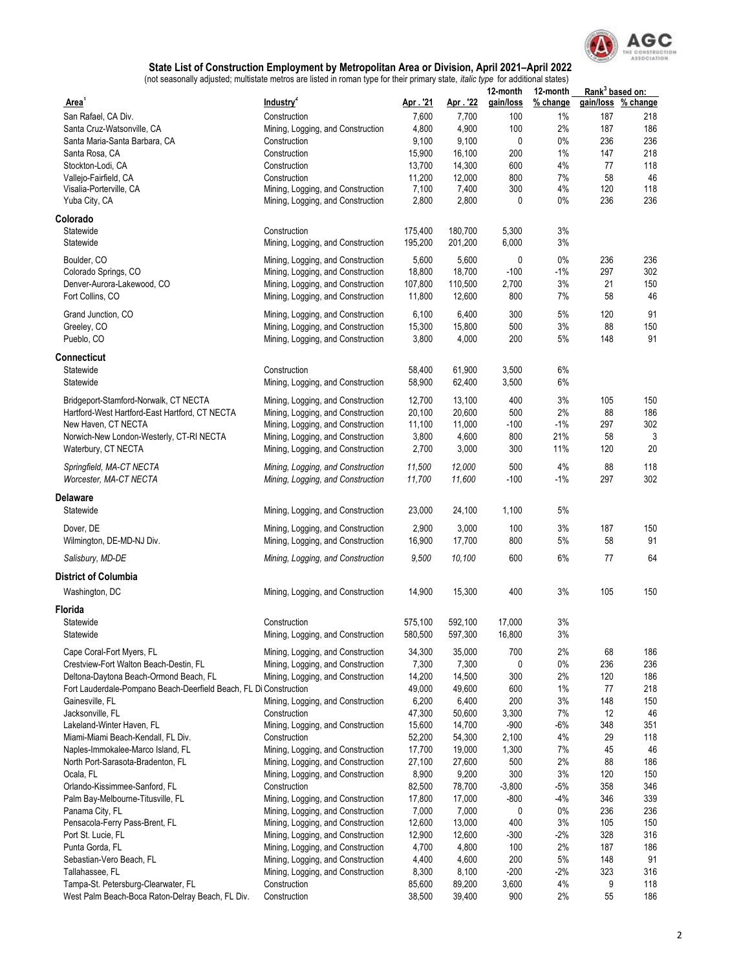

|                                                                   | adjudical, mailleate motive are noted in remain type for their primary |                 |                 | 12-month   | 12-month | Rank <sup>3</sup> based on: |                    |
|-------------------------------------------------------------------|------------------------------------------------------------------------|-----------------|-----------------|------------|----------|-----------------------------|--------------------|
| Area'                                                             | Industry <sup>2</sup>                                                  | Apr. 21         | Apr. '22        | gain/loss  | % change |                             | gain/loss % change |
| San Rafael, CA Div.                                               | Construction                                                           | 7,600           | 7,700           | 100        | 1%       | 187                         | 218                |
| Santa Cruz-Watsonville, CA                                        | Mining, Logging, and Construction                                      | 4,800           | 4,900           | 100        | 2%       | 187                         | 186                |
| Santa Maria-Santa Barbara, CA                                     | Construction                                                           | 9,100           | 9,100           | 0          | $0\%$    | 236                         | 236                |
| Santa Rosa, CA                                                    | Construction                                                           | 15,900          | 16,100          | 200        | 1%       | 147                         | 218                |
| Stockton-Lodi, CA                                                 | Construction                                                           | 13,700          | 14,300          | 600        | 4%       | 77                          | 118                |
| Vallejo-Fairfield, CA                                             | Construction                                                           | 11,200          | 12,000          | 800        | 7%       | 58                          | 46                 |
| Visalia-Porterville, CA                                           | Mining, Logging, and Construction                                      | 7,100           | 7,400           | 300        | 4%       | 120                         | 118                |
| Yuba City, CA                                                     | Mining, Logging, and Construction                                      | 2,800           | 2,800           | 0          | $0\%$    | 236                         | 236                |
| Colorado                                                          |                                                                        |                 |                 |            |          |                             |                    |
| Statewide                                                         | Construction                                                           | 175,400         | 180,700         | 5,300      | 3%       |                             |                    |
| Statewide                                                         | Mining, Logging, and Construction                                      | 195,200         | 201,200         | 6,000      | 3%       |                             |                    |
| Boulder, CO                                                       | Mining, Logging, and Construction                                      | 5,600           | 5,600           | 0          | $0\%$    | 236                         | 236                |
| Colorado Springs, CO                                              | Mining, Logging, and Construction                                      | 18,800          | 18,700          | $-100$     | $-1%$    | 297                         | 302                |
| Denver-Aurora-Lakewood, CO                                        | Mining, Logging, and Construction                                      | 107,800         | 110,500         | 2,700      | 3%       | 21                          | 150                |
| Fort Collins, CO                                                  | Mining, Logging, and Construction                                      | 11,800          | 12,600          | 800        | 7%       | 58                          | 46                 |
|                                                                   |                                                                        |                 |                 |            |          |                             | 91                 |
| Grand Junction, CO                                                | Mining, Logging, and Construction                                      | 6,100           | 6,400           | 300        | 5%<br>3% | 120<br>88                   |                    |
| Greeley, CO<br>Pueblo, CO                                         | Mining, Logging, and Construction                                      | 15,300<br>3,800 | 15,800<br>4,000 | 500<br>200 | 5%       | 148                         | 150<br>91          |
|                                                                   | Mining, Logging, and Construction                                      |                 |                 |            |          |                             |                    |
| Connecticut                                                       |                                                                        |                 |                 |            |          |                             |                    |
| Statewide                                                         | Construction                                                           | 58,400          | 61,900          | 3,500      | 6%       |                             |                    |
| Statewide                                                         | Mining, Logging, and Construction                                      | 58,900          | 62,400          | 3,500      | 6%       |                             |                    |
| Bridgeport-Stamford-Norwalk, CT NECTA                             | Mining, Logging, and Construction                                      | 12,700          | 13,100          | 400        | 3%       | 105                         | 150                |
| Hartford-West Hartford-East Hartford, CT NECTA                    | Mining, Logging, and Construction                                      | 20,100          | 20,600          | 500        | 2%       | 88                          | 186                |
| New Haven, CT NECTA                                               | Mining, Logging, and Construction                                      | 11,100          | 11,000          | $-100$     | $-1%$    | 297                         | 302                |
| Norwich-New London-Westerly, CT-RI NECTA                          | Mining, Logging, and Construction                                      | 3,800           | 4,600           | 800        | 21%      | 58                          | 3                  |
| Waterbury, CT NECTA                                               | Mining, Logging, and Construction                                      | 2,700           | 3,000           | 300        | 11%      | 120                         | 20                 |
|                                                                   |                                                                        |                 |                 |            |          |                             |                    |
| Springfield, MA-CT NECTA                                          | Mining, Logging, and Construction                                      | 11,500          | 12,000          | 500        | 4%       | 88                          | 118                |
| Worcester, MA-CT NECTA                                            | Mining, Logging, and Construction                                      | 11,700          | 11,600          | $-100$     | $-1%$    | 297                         | 302                |
| Delaware                                                          |                                                                        |                 |                 |            |          |                             |                    |
| Statewide                                                         | Mining, Logging, and Construction                                      | 23,000          | 24,100          | 1,100      | 5%       |                             |                    |
|                                                                   |                                                                        |                 |                 |            | 3%       |                             |                    |
| Dover, DE                                                         | Mining, Logging, and Construction                                      | 2,900           | 3,000           | 100        |          | 187                         | 150                |
| Wilmington, DE-MD-NJ Div.                                         | Mining, Logging, and Construction                                      | 16,900          | 17,700          | 800        | $5%$     | 58                          | 91                 |
| Salisbury, MD-DE                                                  | Mining, Logging, and Construction                                      | 9,500           | 10,100          | 600        | 6%       | 77                          | 64                 |
| <b>District of Columbia</b>                                       |                                                                        |                 |                 |            |          |                             |                    |
| Washington, DC                                                    | Mining, Logging, and Construction                                      | 14,900          | 15,300          | 400        | 3%       | 105                         | 150                |
|                                                                   |                                                                        |                 |                 |            |          |                             |                    |
| Florida                                                           |                                                                        |                 |                 |            |          |                             |                    |
| Statewide                                                         | Construction                                                           | 575,100         | 592,100         | 17.000     | 3%       |                             |                    |
| Statewide                                                         | Mining, Logging, and Construction                                      | 580,500         | 597,300         | 16,800     | 3%       |                             |                    |
| Cape Coral-Fort Myers, FL                                         | Mining, Logging, and Construction                                      | 34,300          | 35,000          | 700        | 2%       | 68                          | 186                |
| Crestview-Fort Walton Beach-Destin, FL                            | Mining, Logging, and Construction                                      | 7,300           | 7,300           | 0          | 0%       | 236                         | 236                |
| Deltona-Daytona Beach-Ormond Beach, FL                            | Mining, Logging, and Construction                                      | 14,200          | 14,500          | 300        | 2%       | 120                         | 186                |
| Fort Lauderdale-Pompano Beach-Deerfield Beach, FL Di Construction |                                                                        | 49,000          | 49,600          | 600        | 1%       | 77                          | 218                |
| Gainesville, FL                                                   | Mining, Logging, and Construction                                      | 6,200           | 6,400           | 200        | 3%       | 148                         | 150                |
| Jacksonville, FL                                                  | Construction                                                           | 47,300          | 50,600          | 3,300      | 7%       | 12                          | 46                 |
| Lakeland-Winter Haven, FL                                         | Mining, Logging, and Construction                                      | 15,600          | 14,700          | $-900$     | $-6%$    | 348                         | 351                |
| Miami-Miami Beach-Kendall, FL Div.                                | Construction                                                           | 52,200          | 54,300          | 2,100      | 4%       | 29                          | 118                |
| Naples-Immokalee-Marco Island, FL                                 | Mining, Logging, and Construction                                      | 17,700          | 19,000          | 1,300      | 7%       | 45                          | 46                 |
| North Port-Sarasota-Bradenton, FL                                 | Mining, Logging, and Construction                                      | 27,100          | 27,600          | 500        | 2%       | 88                          | 186                |
| Ocala, FL                                                         | Mining, Logging, and Construction                                      | 8,900           | 9,200           | 300        | 3%       | 120                         | 150                |
| Orlando-Kissimmee-Sanford, FL                                     | Construction                                                           | 82,500          | 78,700          | $-3,800$   | $-5%$    | 358                         | 346                |
| Palm Bay-Melbourne-Titusville, FL                                 | Mining, Logging, and Construction                                      | 17,800          | 17,000          | -800       | -4%      | 346                         | 339                |
| Panama City, FL                                                   | Mining, Logging, and Construction                                      | 7,000           | 7,000           | 0          | 0%       | 236                         | 236                |
| Pensacola-Ferry Pass-Brent, FL                                    | Mining, Logging, and Construction                                      | 12,600          | 13,000          | 400        | 3%       | 105                         | 150                |
| Port St. Lucie, FL                                                | Mining, Logging, and Construction                                      | 12,900          | 12,600          | -300       | $-2%$    | 328                         | 316                |
| Punta Gorda, FL                                                   | Mining, Logging, and Construction                                      | 4,700           | 4,800           | 100        | 2%       | 187                         | 186                |
| Sebastian-Vero Beach, FL                                          | Mining, Logging, and Construction                                      | 4,400           | 4,600           | 200        | 5%       | 148                         | 91                 |
| Tallahassee, FL                                                   | Mining, Logging, and Construction                                      | 8,300           | 8,100           | $-200$     | -2%      | 323                         | 316                |
| Tampa-St. Petersburg-Clearwater, FL                               | Construction                                                           | 85,600          | 89,200          | 3,600      | 4%       | 9                           | 118                |
| West Palm Beach-Boca Raton-Delray Beach, FL Div.                  | Construction                                                           | 38,500          | 39,400          | 900        | 2%       | 55                          | 186                |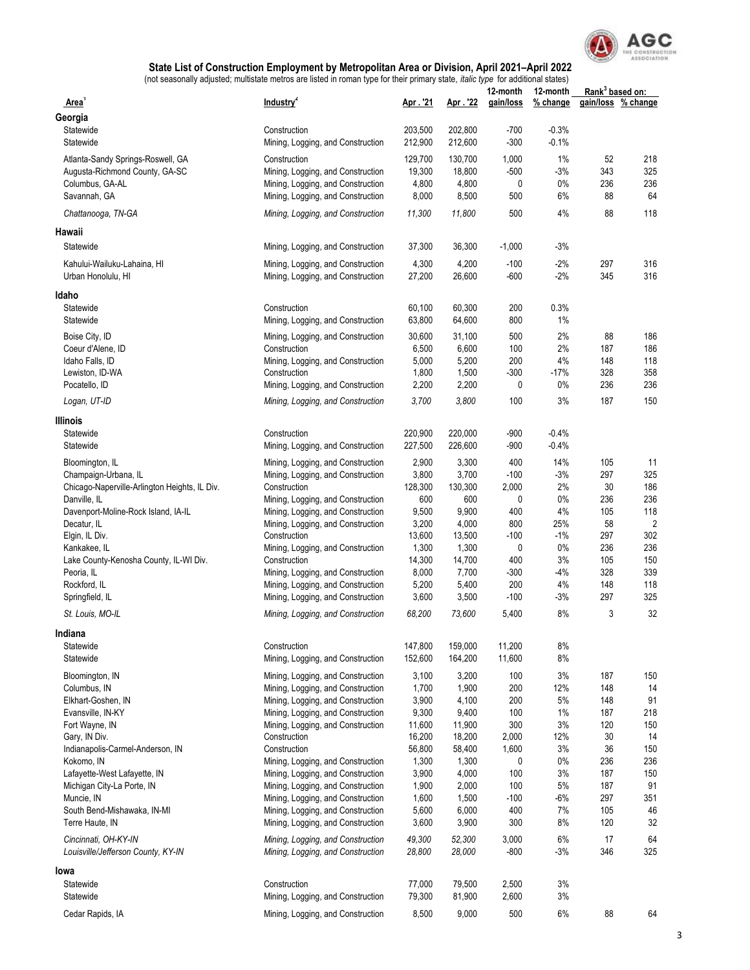

| Area'                                              | Industry <sup>2</sup>                                                  | Apr. 21         | Apr. 22         | 12-month<br>gain/loss | 12-month<br>% change | Rank <sup>3</sup> based on: | gain/loss % change |
|----------------------------------------------------|------------------------------------------------------------------------|-----------------|-----------------|-----------------------|----------------------|-----------------------------|--------------------|
| Georgia                                            |                                                                        |                 |                 |                       |                      |                             |                    |
| Statewide                                          | Construction                                                           | 203,500         | 202,800         | $-700$                | $-0.3%$              |                             |                    |
| Statewide                                          | Mining, Logging, and Construction                                      | 212,900         | 212,600         | $-300$                | $-0.1%$              |                             |                    |
| Atlanta-Sandy Springs-Roswell, GA                  | Construction                                                           | 129,700         | 130,700         | 1,000                 | 1%                   | 52                          | 218                |
| Augusta-Richmond County, GA-SC                     | Mining, Logging, and Construction                                      | 19,300          | 18,800          | $-500$                | $-3%$                | 343                         | 325                |
| Columbus, GA-AL                                    | Mining, Logging, and Construction                                      | 4,800           | 4,800           | 0                     | $0\%$                | 236                         | 236                |
| Savannah, GA                                       | Mining, Logging, and Construction                                      | 8,000           | 8,500           | 500                   | 6%                   | 88                          | 64                 |
| Chattanooga, TN-GA                                 |                                                                        | 11,300          | 11,800          | 500                   | 4%                   | 88                          | 118                |
|                                                    | Mining, Logging, and Construction                                      |                 |                 |                       |                      |                             |                    |
| Hawaii                                             |                                                                        |                 |                 |                       |                      |                             |                    |
| Statewide                                          | Mining, Logging, and Construction                                      | 37,300          | 36,300          | $-1,000$              | $-3%$                |                             |                    |
| Kahului-Wailuku-Lahaina, HI<br>Urban Honolulu, HI  | Mining, Logging, and Construction<br>Mining, Logging, and Construction | 4,300<br>27,200 | 4,200<br>26,600 | $-100$<br>$-600$      | $-2%$<br>$-2%$       | 297<br>345                  | 316<br>316         |
| Idaho                                              |                                                                        |                 |                 |                       |                      |                             |                    |
| Statewide                                          | Construction                                                           | 60,100          | 60,300          | 200                   | 0.3%                 |                             |                    |
| Statewide                                          | Mining, Logging, and Construction                                      | 63,800          | 64,600          | 800                   | 1%                   |                             |                    |
| Boise City, ID                                     | Mining, Logging, and Construction                                      | 30,600          | 31,100          | 500                   | 2%                   | 88                          | 186                |
| Coeur d'Alene, ID                                  | Construction                                                           | 6,500           | 6,600           | 100                   | 2%                   | 187                         | 186                |
| Idaho Falls, ID                                    | Mining, Logging, and Construction                                      | 5,000           | 5,200           | 200                   | 4%                   | 148                         | 118                |
| Lewiston, ID-WA                                    | Construction                                                           | 1,800           | 1,500           | $-300$                | $-17%$               | 328                         | 358                |
| Pocatello, ID                                      | Mining, Logging, and Construction                                      | 2,200           | 2,200           | 0                     | $0\%$                | 236                         | 236                |
| Logan, UT-ID                                       | Mining, Logging, and Construction                                      | 3,700           | 3,800           | 100                   | 3%                   | 187                         | 150                |
|                                                    |                                                                        |                 |                 |                       |                      |                             |                    |
| Illinois<br>Statewide                              | Construction                                                           | 220,900         | 220,000         | $-900$                | $-0.4%$              |                             |                    |
| Statewide                                          | Mining, Logging, and Construction                                      | 227,500         | 226,600         | $-900$                | $-0.4%$              |                             |                    |
|                                                    |                                                                        |                 |                 |                       |                      |                             |                    |
| Bloomington, IL                                    | Mining, Logging, and Construction                                      | 2,900           | 3,300           | 400                   | 14%                  | 105                         | 11                 |
| Champaign-Urbana, IL                               | Mining, Logging, and Construction                                      | 3,800           | 3,700           | $-100$                | $-3%$                | 297                         | 325                |
| Chicago-Naperville-Arlington Heights, IL Div.      | Construction                                                           | 128,300<br>600  | 130,300         | 2,000                 | 2%<br>0%             | 30<br>236                   | 186<br>236         |
| Danville, IL                                       | Mining, Logging, and Construction                                      | 9,500           | 600<br>9,900    | 0<br>400              | 4%                   | 105                         | 118                |
| Davenport-Moline-Rock Island, IA-IL<br>Decatur, IL | Mining, Logging, and Construction<br>Mining, Logging, and Construction | 3,200           | 4,000           | 800                   | 25%                  | 58                          | $\overline{2}$     |
| Elgin, IL Div.                                     | Construction                                                           | 13,600          | 13,500          | $-100$                | $-1%$                | 297                         | 302                |
| Kankakee, IL                                       | Mining, Logging, and Construction                                      | 1,300           | 1,300           | 0                     | $0\%$                | 236                         | 236                |
| Lake County-Kenosha County, IL-WI Div.             | Construction                                                           | 14,300          | 14,700          | 400                   | 3%                   | 105                         | 150                |
| Peoria, IL                                         | Mining, Logging, and Construction                                      | 8,000           | 7,700           | $-300$                | $-4%$                | 328                         | 339                |
| Rockford, IL                                       | Mining, Logging, and Construction                                      | 5,200           | 5,400           | 200                   | 4%                   | 148                         | 118                |
| Springfield, IL                                    | Mining, Logging, and Construction                                      | 3,600           | 3,500           | $-100$                | $-3%$                | 297                         | 325                |
| St. Louis, MO-IL                                   | Mining, Logging, and Construction                                      | 68,200          | 73,600          | 5,400                 | 8%                   | 3                           | 32                 |
| Indiana                                            |                                                                        |                 |                 |                       |                      |                             |                    |
| Statewide                                          | Construction                                                           | 147,800         | 159,000         | 11,200                | 8%                   |                             |                    |
| Statewide                                          | Mining, Logging, and Construction                                      | 152,600         | 164,200         | 11,600                | 8%                   |                             |                    |
|                                                    |                                                                        |                 |                 |                       |                      |                             |                    |
| Bloomington, IN                                    | Mining, Logging, and Construction                                      | 3,100           | 3,200           | 100                   | 3%                   | 187                         | 150                |
| Columbus, IN<br>Elkhart-Goshen, IN                 | Mining, Logging, and Construction<br>Mining, Logging, and Construction | 1,700<br>3,900  | 1,900<br>4,100  | 200<br>200            | 12%<br>5%            | 148<br>148                  | 14<br>91           |
| Evansville, IN-KY                                  | Mining, Logging, and Construction                                      | 9,300           | 9,400           | 100                   | 1%                   | 187                         | 218                |
| Fort Wayne, IN                                     | Mining, Logging, and Construction                                      | 11,600          | 11,900          | 300                   | 3%                   | 120                         | 150                |
| Gary, IN Div.                                      | Construction                                                           | 16,200          | 18,200          | 2,000                 | 12%                  | 30                          | 14                 |
| Indianapolis-Carmel-Anderson, IN                   | Construction                                                           | 56,800          | 58,400          | 1,600                 | 3%                   | 36                          | 150                |
| Kokomo, IN                                         | Mining, Logging, and Construction                                      | 1,300           | 1,300           | 0                     | 0%                   | 236                         | 236                |
| Lafayette-West Lafayette, IN                       | Mining, Logging, and Construction                                      | 3,900           | 4,000           | 100                   | 3%                   | 187                         | 150                |
| Michigan City-La Porte, IN                         | Mining, Logging, and Construction                                      | 1,900           | 2,000           | 100                   | 5%                   | 187                         | 91                 |
| Muncie, IN                                         | Mining, Logging, and Construction                                      | 1,600           | 1,500           | $-100$                | $-6%$                | 297                         | 351                |
| South Bend-Mishawaka, IN-MI                        | Mining, Logging, and Construction                                      | 5,600           | 6,000           | 400                   | 7%                   | 105                         | 46                 |
| Terre Haute, IN                                    | Mining, Logging, and Construction                                      | 3,600           | 3,900           | 300                   | 8%                   | 120                         | 32                 |
| Cincinnati, OH-KY-IN                               | Mining, Logging, and Construction                                      | 49,300          | 52,300          | 3,000                 | 6%                   | 17                          | 64                 |
| Louisville/Jefferson County, KY-IN                 | Mining, Logging, and Construction                                      | 28,800          | 28,000          | $-800$                | $-3%$                | 346                         | 325                |
| lowa                                               |                                                                        |                 |                 |                       |                      |                             |                    |
| Statewide                                          | Construction                                                           | 77,000          | 79,500          | 2,500                 | 3%                   |                             |                    |
| Statewide                                          | Mining, Logging, and Construction                                      | 79,300          | 81,900          | 2,600                 | 3%                   |                             |                    |
| Cedar Rapids, IA                                   | Mining, Logging, and Construction                                      | 8,500           | 9,000           | 500                   | 6%                   | 88                          | 64                 |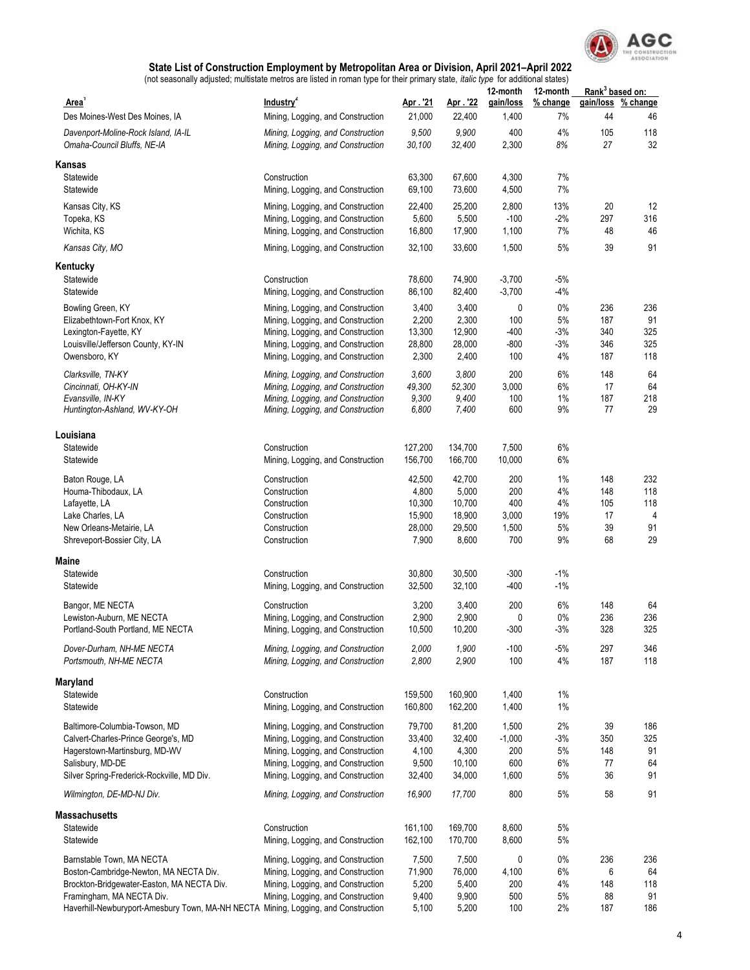

| Area <sup>1</sup>                                                                                                                                                                                                                    | Industry <sup>2</sup>                                                                                                                                                                 | Apr. '21                                               | Apr. 22                                                | 12-month<br>gain/loss                      | 12-month<br>% change              | Rank <sup>3</sup> based on:<br>gain/loss | % change                           |
|--------------------------------------------------------------------------------------------------------------------------------------------------------------------------------------------------------------------------------------|---------------------------------------------------------------------------------------------------------------------------------------------------------------------------------------|--------------------------------------------------------|--------------------------------------------------------|--------------------------------------------|-----------------------------------|------------------------------------------|------------------------------------|
| Des Moines-West Des Moines, IA                                                                                                                                                                                                       | Mining, Logging, and Construction                                                                                                                                                     | 21,000                                                 | 22,400                                                 | 1,400                                      | 7%                                | 44                                       | 46                                 |
| Davenport-Moline-Rock Island, IA-IL<br>Omaha-Council Bluffs, NE-IA                                                                                                                                                                   | Mining, Logging, and Construction<br>Mining, Logging, and Construction                                                                                                                | 9,500<br>30,100                                        | 9,900<br>32,400                                        | 400<br>2,300                               | 4%<br>8%                          | 105<br>27                                | 118<br>32                          |
| Kansas                                                                                                                                                                                                                               |                                                                                                                                                                                       |                                                        |                                                        |                                            |                                   |                                          |                                    |
| Statewide<br>Statewide                                                                                                                                                                                                               | Construction<br>Mining, Logging, and Construction                                                                                                                                     | 63,300<br>69,100                                       | 67,600<br>73,600                                       | 4,300<br>4,500                             | 7%<br>7%                          |                                          |                                    |
| Kansas City, KS<br>Topeka, KS<br>Wichita, KS                                                                                                                                                                                         | Mining, Logging, and Construction<br>Mining, Logging, and Construction<br>Mining, Logging, and Construction                                                                           | 22,400<br>5,600<br>16,800                              | 25,200<br>5,500<br>17,900                              | 2,800<br>$-100$<br>1,100                   | 13%<br>$-2%$<br>7%                | 20<br>297<br>48                          | 12<br>316<br>46                    |
| Kansas City, MO                                                                                                                                                                                                                      | Mining, Logging, and Construction                                                                                                                                                     | 32,100                                                 | 33,600                                                 | 1,500                                      | 5%                                | 39                                       | 91                                 |
| Kentucky                                                                                                                                                                                                                             |                                                                                                                                                                                       |                                                        |                                                        |                                            |                                   |                                          |                                    |
| Statewide<br>Statewide                                                                                                                                                                                                               | Construction<br>Mining, Logging, and Construction                                                                                                                                     | 78,600<br>86,100                                       | 74,900<br>82,400                                       | $-3,700$<br>$-3,700$                       | $-5%$<br>$-4%$                    |                                          |                                    |
| Bowling Green, KY<br>Elizabethtown-Fort Knox, KY<br>Lexington-Fayette, KY<br>Louisville/Jefferson County, KY-IN<br>Owensboro, KY                                                                                                     | Mining, Logging, and Construction<br>Mining, Logging, and Construction<br>Mining, Logging, and Construction<br>Mining, Logging, and Construction<br>Mining, Logging, and Construction | 3,400<br>2,200<br>13,300<br>28,800<br>2,300            | 3,400<br>2,300<br>12,900<br>28,000<br>2,400            | 0<br>100<br>$-400$<br>$-800$<br>100        | 0%<br>5%<br>-3%<br>-3%<br>4%      | 236<br>187<br>340<br>346<br>187          | 236<br>91<br>325<br>325<br>118     |
| Clarksville, TN-KY<br>Cincinnati, OH-KY-IN<br>Evansville, IN-KY<br>Huntington-Ashland, WV-KY-OH                                                                                                                                      | Mining, Logging, and Construction<br>Mining, Logging, and Construction<br>Mining, Logging, and Construction<br>Mining, Logging, and Construction                                      | 3,600<br>49,300<br>9,300<br>6,800                      | 3,800<br>52,300<br>9,400<br>7,400                      | 200<br>3,000<br>100<br>600                 | 6%<br>6%<br>1%<br>9%              | 148<br>17<br>187<br>77                   | 64<br>64<br>218<br>29              |
| Louisiana                                                                                                                                                                                                                            |                                                                                                                                                                                       |                                                        |                                                        |                                            |                                   |                                          |                                    |
| Statewide<br>Statewide                                                                                                                                                                                                               | Construction<br>Mining, Logging, and Construction                                                                                                                                     | 127,200<br>156,700                                     | 134,700<br>166,700                                     | 7,500<br>10,000                            | 6%<br>6%                          |                                          |                                    |
| Baton Rouge, LA<br>Houma-Thibodaux, LA<br>Lafayette, LA<br>Lake Charles, LA<br>New Orleans-Metairie, LA<br>Shreveport-Bossier City, LA                                                                                               | Construction<br>Construction<br>Construction<br>Construction<br>Construction<br>Construction                                                                                          | 42,500<br>4,800<br>10,300<br>15,900<br>28,000<br>7,900 | 42,700<br>5,000<br>10,700<br>18,900<br>29,500<br>8,600 | 200<br>200<br>400<br>3,000<br>1,500<br>700 | 1%<br>4%<br>4%<br>19%<br>5%<br>9% | 148<br>148<br>105<br>17<br>39<br>68      | 232<br>118<br>118<br>4<br>91<br>29 |
| Maine                                                                                                                                                                                                                                |                                                                                                                                                                                       |                                                        |                                                        |                                            |                                   |                                          |                                    |
| Statewide<br>Statewide                                                                                                                                                                                                               | Construction<br>Mining, Logging, and Construction                                                                                                                                     | 30,800<br>32,500                                       | 30,500<br>32,100                                       | $-300$<br>-400                             | $-1%$<br>-1%                      |                                          |                                    |
| Bangor, ME NECTA<br>Lewiston-Auburn, ME NECTA<br>Portland-South Portland, ME NECTA                                                                                                                                                   | Construction<br>Mining, Logging, and Construction<br>Mining, Logging, and Construction                                                                                                | 3,200<br>2,900<br>10,500                               | 3,400<br>2,900<br>10,200                               | 200<br>0<br>$-300$                         | 6%<br>$0\%$<br>-3%                | 148<br>236<br>328                        | 64<br>236<br>325                   |
| Dover-Durham, NH-ME NECTA<br>Portsmouth, NH-ME NECTA                                                                                                                                                                                 | Mining, Logging, and Construction<br>Mining, Logging, and Construction                                                                                                                | 2,000<br>2,800                                         | 1,900<br>2,900                                         | $-100$<br>100                              | $-5%$<br>4%                       | 297<br>187                               | 346<br>118                         |
| Maryland                                                                                                                                                                                                                             |                                                                                                                                                                                       |                                                        |                                                        |                                            |                                   |                                          |                                    |
| Statewide<br>Statewide                                                                                                                                                                                                               | Construction<br>Mining, Logging, and Construction                                                                                                                                     | 159,500<br>160,800                                     | 160,900<br>162,200                                     | 1,400<br>1,400                             | 1%<br>1%                          |                                          |                                    |
| Baltimore-Columbia-Towson, MD<br>Calvert-Charles-Prince George's, MD<br>Hagerstown-Martinsburg, MD-WV<br>Salisbury, MD-DE<br>Silver Spring-Frederick-Rockville, MD Div.                                                              | Mining, Logging, and Construction<br>Mining, Logging, and Construction<br>Mining, Logging, and Construction<br>Mining, Logging, and Construction<br>Mining, Logging, and Construction | 79,700<br>33,400<br>4,100<br>9,500<br>32,400           | 81,200<br>32,400<br>4,300<br>10,100<br>34,000          | 1,500<br>$-1,000$<br>200<br>600<br>1,600   | 2%<br>$-3%$<br>5%<br>6%<br>5%     | 39<br>350<br>148<br>77<br>36             | 186<br>325<br>91<br>64<br>91       |
| Wilmington, DE-MD-NJ Div.                                                                                                                                                                                                            | Mining, Logging, and Construction                                                                                                                                                     | 16,900                                                 | 17,700                                                 | 800                                        | 5%                                | 58                                       | 91                                 |
| Massachusetts                                                                                                                                                                                                                        |                                                                                                                                                                                       |                                                        |                                                        |                                            |                                   |                                          |                                    |
| Statewide<br>Statewide                                                                                                                                                                                                               | Construction<br>Mining, Logging, and Construction                                                                                                                                     | 161,100<br>162,100                                     | 169,700<br>170,700                                     | 8,600<br>8,600                             | 5%<br>5%                          |                                          |                                    |
| Barnstable Town, MA NECTA<br>Boston-Cambridge-Newton, MA NECTA Div.<br>Brockton-Bridgewater-Easton, MA NECTA Div.<br>Framingham, MA NECTA Div.<br>Haverhill-Newburyport-Amesbury Town, MA-NH NECTA Mining, Logging, and Construction | Mining, Logging, and Construction<br>Mining, Logging, and Construction<br>Mining, Logging, and Construction<br>Mining, Logging, and Construction                                      | 7,500<br>71,900<br>5,200<br>9,400<br>5,100             | 7,500<br>76,000<br>5,400<br>9,900<br>5,200             | 0<br>4,100<br>200<br>500<br>100            | 0%<br>6%<br>4%<br>5%<br>2%        | 236<br>6<br>148<br>88<br>187             | 236<br>64<br>118<br>91<br>186      |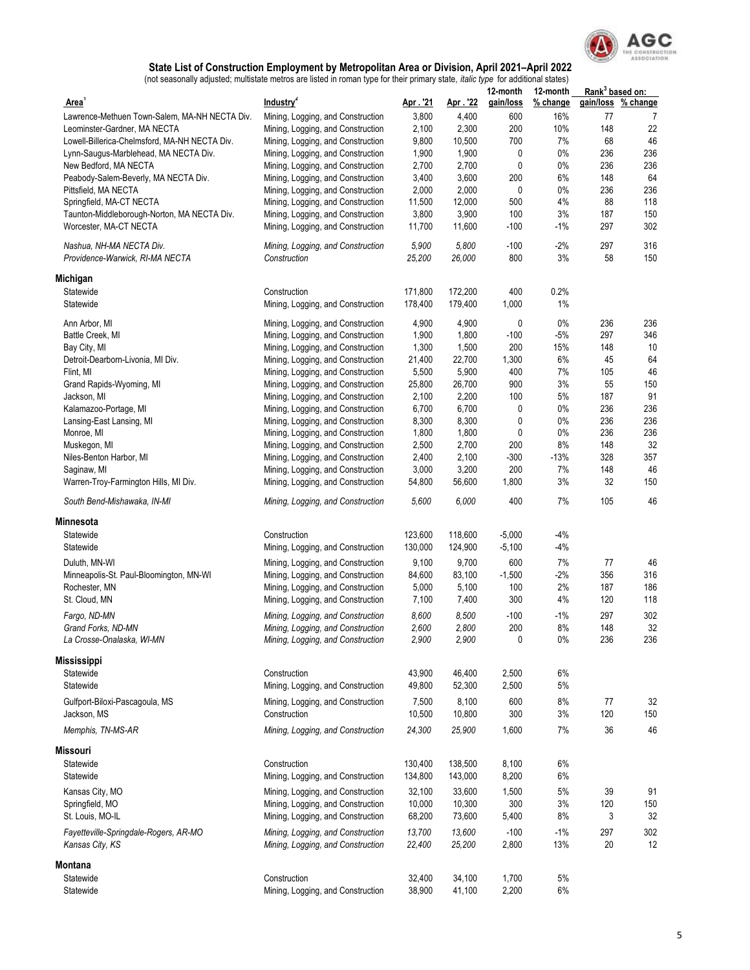

|                                                             |                                                   |                 |                 | 12-month      | 12-month    | Rank <sup>3</sup> based on: |                    |
|-------------------------------------------------------------|---------------------------------------------------|-----------------|-----------------|---------------|-------------|-----------------------------|--------------------|
| Area <sup>1</sup>                                           | Industry <sup>2</sup>                             | Apr. 21         | Apr. 22         | gain/loss     | % change    |                             | gain/loss % change |
| Lawrence-Methuen Town-Salem, MA-NH NECTA Div.               | Mining, Logging, and Construction                 | 3,800           | 4,400           | 600           | 16%         | 77                          | 7                  |
| Leominster-Gardner, MA NECTA                                | Mining, Logging, and Construction                 | 2,100           | 2,300           | 200           | 10%         | 148                         | 22                 |
| Lowell-Billerica-Chelmsford, MA-NH NECTA Div.               | Mining, Logging, and Construction                 | 9,800           | 10,500          | 700           | 7%          | 68                          | 46                 |
| Lynn-Saugus-Marblehead, MA NECTA Div.                       | Mining, Logging, and Construction                 | 1,900           | 1,900           | 0             | $0\%$       | 236                         | 236                |
| New Bedford, MA NECTA                                       | Mining, Logging, and Construction                 | 2,700           | 2,700           | $\mathbf 0$   | 0%          | 236                         | 236                |
| Peabody-Salem-Beverly, MA NECTA Div.                        | Mining, Logging, and Construction                 | 3,400           | 3,600           | 200           | 6%          | 148                         | 64                 |
| Pittsfield, MA NECTA                                        | Mining, Logging, and Construction                 | 2,000           | 2,000           | 0             | $0\%$       | 236                         | 236                |
| Springfield, MA-CT NECTA                                    | Mining, Logging, and Construction                 | 11,500          | 12,000          | 500           | 4%          | 88                          | 118                |
| Taunton-Middleborough-Norton, MA NECTA Div.                 | Mining, Logging, and Construction                 | 3,800           | 3,900           | 100           | 3%          | 187                         | 150                |
| Worcester, MA-CT NECTA                                      | Mining, Logging, and Construction                 | 11,700          | 11,600          | $-100$        | -1%         | 297                         | 302                |
| Nashua, NH-MA NECTA Div.<br>Providence-Warwick, RI-MA NECTA | Mining, Logging, and Construction<br>Construction | 5,900<br>25,200 | 5,800<br>26,000 | $-100$<br>800 | $-2%$<br>3% | 297<br>58                   | 316<br>150         |
| Michigan                                                    |                                                   |                 |                 |               |             |                             |                    |
| Statewide                                                   | Construction                                      | 171,800         | 172,200         | 400           | 0.2%        |                             |                    |
| Statewide                                                   | Mining, Logging, and Construction                 | 178,400         | 179,400         | 1,000         | 1%          |                             |                    |
|                                                             |                                                   |                 |                 |               |             |                             |                    |
| Ann Arbor, MI                                               | Mining, Logging, and Construction                 | 4,900           | 4,900           | 0             | $0\%$       | 236                         | 236                |
| Battle Creek. MI                                            | Mining, Logging, and Construction                 | 1,900           | 1,800           | $-100$        | $-5%$       | 297                         | 346                |
| Bay City, MI                                                | Mining, Logging, and Construction                 | 1,300           | 1,500           | 200           | 15%         | 148                         | 10                 |
| Detroit-Dearborn-Livonia, MI Div.                           | Mining, Logging, and Construction                 | 21,400          | 22,700          | 1,300         | 6%          | 45                          | 64                 |
| Flint, MI                                                   | Mining, Logging, and Construction                 | 5,500           | 5,900           | 400           | 7%          | 105                         | 46                 |
| Grand Rapids-Wyoming, MI                                    | Mining, Logging, and Construction                 | 25,800          | 26,700          | 900           | 3%          | 55                          | 150                |
| Jackson, MI                                                 | Mining, Logging, and Construction                 | 2,100           | 2,200           | 100           | 5%          | 187                         | 91                 |
| Kalamazoo-Portage, MI                                       | Mining, Logging, and Construction                 | 6,700           | 6,700           | 0             | $0\%$       | 236                         | 236                |
| Lansing-East Lansing, MI                                    | Mining, Logging, and Construction                 | 8,300           | 8,300           | $\mathbf 0$   | 0%          | 236                         | 236                |
| Monroe, MI                                                  | Mining, Logging, and Construction                 | 1,800           | 1,800           | 0             | $0\%$       | 236                         | 236                |
| Muskegon, MI                                                | Mining, Logging, and Construction                 | 2,500           | 2,700           | 200           | 8%          | 148                         | 32                 |
| Niles-Benton Harbor, MI                                     | Mining, Logging, and Construction                 | 2,400           | 2,100           | $-300$        | $-13%$      | 328                         | 357                |
| Saginaw, MI                                                 | Mining, Logging, and Construction                 | 3,000           | 3,200           | 200           | 7%          | 148                         | 46                 |
| Warren-Troy-Farmington Hills, MI Div.                       | Mining, Logging, and Construction                 | 54,800          | 56,600          | 1,800         | 3%          | 32                          | 150                |
| South Bend-Mishawaka, IN-MI                                 | Mining, Logging, and Construction                 | 5,600           | 6.000           | 400           | 7%          | 105                         | 46                 |
| Minnesota                                                   |                                                   |                 |                 |               |             |                             |                    |
| Statewide                                                   | Construction                                      | 123,600         | 118,600         | $-5,000$      | -4%         |                             |                    |
| Statewide                                                   | Mining, Logging, and Construction                 | 130,000         | 124,900         | $-5,100$      | $-4%$       |                             |                    |
| Duluth, MN-WI                                               | Mining, Logging, and Construction                 | 9,100           | 9,700           | 600           | 7%          | 77                          | 46                 |
| Minneapolis-St. Paul-Bloomington, MN-WI                     | Mining, Logging, and Construction                 | 84,600          | 83,100          | $-1,500$      | $-2%$       | 356                         | 316                |
| Rochester, MN                                               | Mining, Logging, and Construction                 | 5,000           | 5,100           | 100           | 2%          | 187                         | 186                |
| St. Cloud, MN                                               | Mining, Logging, and Construction                 | 7,100           | 7,400           | 300           | 4%          | 120                         | 118                |
|                                                             |                                                   |                 |                 |               |             |                             |                    |
| Fargo, ND-MN                                                | Mining, Logging, and Construction                 | 8,600           | 8,500           | $-100$        | $-1%$       | 297                         | 302                |
| Grand Forks, ND-MN                                          | Mining, Logging, and Construction                 | 2,600           | 2,800           | 200           | 8%          | 148                         | 32                 |
| La Crosse-Onalaska, WI-MN                                   | Mining, Logging, and Construction                 | 2,900           | 2,900           | 0             | $0\%$       | 236                         | 236                |
| <b>Mississippi</b>                                          |                                                   |                 |                 |               |             |                             |                    |
| Statewide                                                   | Construction                                      | 43,900          | 46,400          | 2,500         | 6%          |                             |                    |
| Statewide                                                   | Mining, Logging, and Construction                 | 49,800          | 52,300          | 2,500         | 5%          |                             |                    |
| Gulfport-Biloxi-Pascagoula, MS<br>Jackson, MS               | Mining, Logging, and Construction<br>Construction | 7,500<br>10,500 | 8,100<br>10,800 | 600<br>300    | 8%<br>3%    | 77<br>120                   | 32<br>150          |
| Memphis, TN-MS-AR                                           | Mining, Logging, and Construction                 | 24,300          | 25,900          | 1,600         | 7%          | 36                          | 46                 |
| Missouri                                                    |                                                   |                 |                 |               |             |                             |                    |
| Statewide                                                   | Construction                                      |                 | 138,500         | 8,100         | 6%          |                             |                    |
|                                                             |                                                   | 130,400         |                 |               |             |                             |                    |
| Statewide                                                   | Mining, Logging, and Construction                 | 134,800         | 143,000         | 8,200         | 6%          |                             |                    |
| Kansas City, MO                                             | Mining, Logging, and Construction                 | 32,100          | 33,600          | 1,500         | 5%          | 39                          | 91                 |
| Springfield, MO                                             | Mining, Logging, and Construction                 | 10,000          | 10,300          | 300           | 3%          | 120                         | 150                |
| St. Louis, MO-IL                                            | Mining, Logging, and Construction                 | 68,200          | 73,600          | 5,400         | 8%          | 3                           | 32                 |
| Fayetteville-Springdale-Rogers, AR-MO                       | Mining, Logging, and Construction                 | 13,700          | 13,600          | $-100$        | $-1%$       | 297                         | 302                |
| Kansas City, KS                                             | Mining, Logging, and Construction                 | 22,400          | 25,200          | 2,800         | 13%         | 20                          | 12                 |
| Montana                                                     |                                                   |                 |                 |               |             |                             |                    |
| Statewide                                                   | Construction                                      | 32,400          | 34,100          | 1,700         | 5%          |                             |                    |
| Statewide                                                   | Mining, Logging, and Construction                 | 38,900          | 41,100          | 2,200         | 6%          |                             |                    |
|                                                             |                                                   |                 |                 |               |             |                             |                    |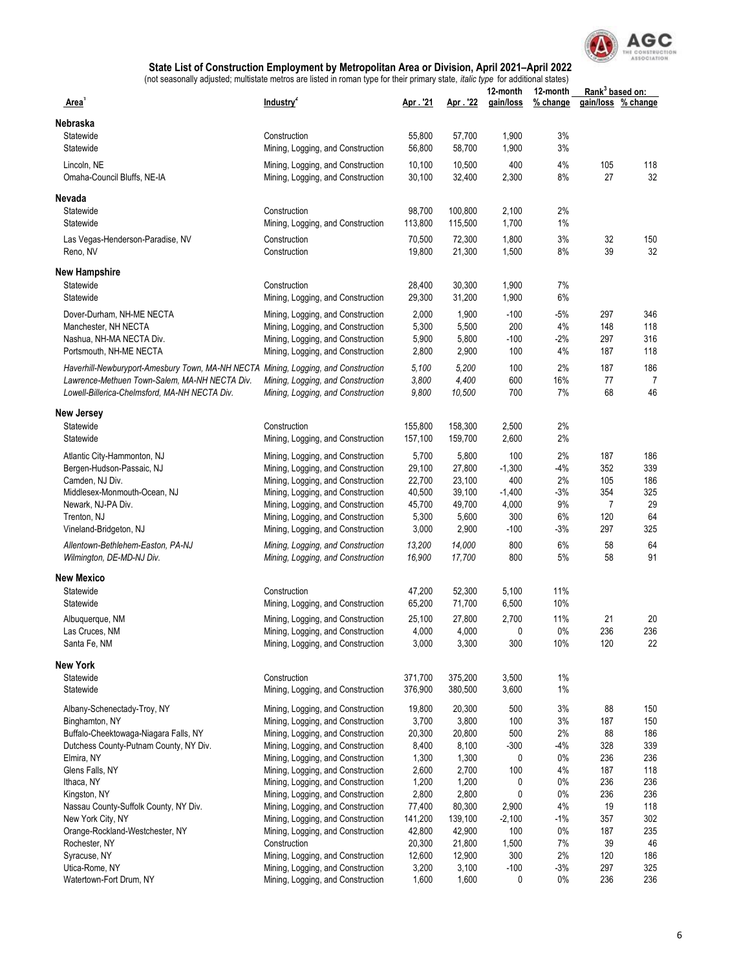

|                                                                                                                                                                                      |                                                                                                                                                  |                                     |                                     | 12-month                           | 12-month               | Rank <sup>3</sup> based on: |                          |
|--------------------------------------------------------------------------------------------------------------------------------------------------------------------------------------|--------------------------------------------------------------------------------------------------------------------------------------------------|-------------------------------------|-------------------------------------|------------------------------------|------------------------|-----------------------------|--------------------------|
| Area'                                                                                                                                                                                | Industry <sup>2</sup>                                                                                                                            | Apr. '21                            | Apr. '22                            | gain/loss                          | $%$ change             |                             | gain/loss % change       |
| Nebraska<br>Statewide<br>Statewide                                                                                                                                                   | Construction<br>Mining, Logging, and Construction                                                                                                | 55,800<br>56,800                    | 57,700<br>58,700                    | 1,900<br>1,900                     | 3%<br>3%               |                             |                          |
| Lincoln, NE<br>Omaha-Council Bluffs, NE-IA                                                                                                                                           | Mining, Logging, and Construction<br>Mining, Logging, and Construction                                                                           | 10,100<br>30,100                    | 10,500<br>32,400                    | 400<br>2,300                       | $4\%$<br>8%            | 105<br>27                   | 118<br>32                |
| Nevada                                                                                                                                                                               |                                                                                                                                                  |                                     |                                     |                                    |                        |                             |                          |
| Statewide<br>Statewide                                                                                                                                                               | Construction<br>Mining, Logging, and Construction                                                                                                | 98,700<br>113,800                   | 100,800<br>115,500                  | 2,100<br>1,700                     | 2%<br>1%               |                             |                          |
| Las Vegas-Henderson-Paradise, NV<br>Reno, NV                                                                                                                                         | Construction<br>Construction                                                                                                                     | 70,500<br>19,800                    | 72,300<br>21,300                    | 1,800<br>1,500                     | 3%<br>8%               | 32<br>39                    | 150<br>32                |
| <b>New Hampshire</b>                                                                                                                                                                 |                                                                                                                                                  |                                     |                                     |                                    |                        |                             |                          |
| Statewide<br>Statewide                                                                                                                                                               | Construction<br>Mining, Logging, and Construction                                                                                                | 28,400<br>29,300                    | 30,300<br>31,200                    | 1,900<br>1,900                     | 7%<br>6%               |                             |                          |
| Dover-Durham, NH-ME NECTA<br>Manchester, NH NECTA<br>Nashua, NH-MA NECTA Div.<br>Portsmouth, NH-ME NECTA                                                                             | Mining, Logging, and Construction<br>Mining, Logging, and Construction<br>Mining, Logging, and Construction<br>Mining, Logging, and Construction | 2,000<br>5,300<br>5,900<br>2,800    | 1,900<br>5,500<br>5,800<br>2,900    | $-100$<br>200<br>$-100$<br>100     | -5%<br>4%<br>-2%<br>4% | 297<br>148<br>297<br>187    | 346<br>118<br>316<br>118 |
| Haverhill-Newburyport-Amesbury Town, MA-NH NECTA Mining, Logging, and Construction<br>Lawrence-Methuen Town-Salem, MA-NH NECTA Div.<br>Lowell-Billerica-Chelmsford, MA-NH NECTA Div. | Mining, Logging, and Construction<br>Mining, Logging, and Construction                                                                           | 5,100<br>3,800<br>9,800             | 5,200<br>4,400<br>10,500            | 100<br>600<br>700                  | 2%<br>16%<br>7%        | 187<br>77<br>68             | 186<br>7<br>46           |
| <b>New Jersey</b>                                                                                                                                                                    |                                                                                                                                                  |                                     |                                     |                                    |                        |                             |                          |
| Statewide<br>Statewide                                                                                                                                                               | Construction<br>Mining, Logging, and Construction                                                                                                | 155,800<br>157,100                  | 158,300<br>159,700                  | 2,500<br>2,600                     | 2%<br>2%               |                             |                          |
| Atlantic City-Hammonton, NJ<br>Bergen-Hudson-Passaic, NJ<br>Camden, NJ Div.<br>Middlesex-Monmouth-Ocean, NJ                                                                          | Mining, Logging, and Construction<br>Mining, Logging, and Construction<br>Mining, Logging, and Construction<br>Mining, Logging, and Construction | 5,700<br>29,100<br>22,700<br>40,500 | 5,800<br>27,800<br>23,100<br>39,100 | 100<br>$-1,300$<br>400<br>$-1,400$ | 2%<br>-4%<br>2%<br>-3% | 187<br>352<br>105<br>354    | 186<br>339<br>186<br>325 |
| Newark, NJ-PA Div.<br>Trenton, NJ<br>Vineland-Bridgeton, NJ                                                                                                                          | Mining, Logging, and Construction<br>Mining, Logging, and Construction<br>Mining, Logging, and Construction                                      | 45,700<br>5,300<br>3,000            | 49,700<br>5,600<br>2,900            | 4,000<br>300<br>$-100$             | 9%<br>6%<br>-3%        | 7<br>120<br>297             | 29<br>64<br>325          |
| Allentown-Bethlehem-Easton, PA-NJ<br>Wilmington, DE-MD-NJ Div.                                                                                                                       | Mining, Logging, and Construction<br>Mining, Logging, and Construction                                                                           | 13,200<br>16,900                    | 14,000<br>17,700                    | 800<br>800                         | 6%<br>5%               | 58<br>58                    | 64<br>91                 |
| New Mexico                                                                                                                                                                           |                                                                                                                                                  |                                     |                                     |                                    |                        |                             |                          |
| Statewide<br>Statewide                                                                                                                                                               | Construction<br>Mining, Logging, and Construction                                                                                                | 47,200<br>65,200                    | 52,300<br>71,700                    | 5,100<br>6,500                     | 11%<br>10%             |                             |                          |
| Albuquerque, NM<br>Las Cruces, NM<br>Santa Fe, NM                                                                                                                                    | Mining, Logging, and Construction<br>Mining, Logging, and Construction<br>Mining, Logging, and Construction                                      | 25,100<br>4,000<br>3,000            | 27,800<br>4,000<br>3,300            | 2,700<br>0<br>300                  | 11%<br>0%<br>10%       | 21<br>236<br>120            | 20<br>236<br>22          |
|                                                                                                                                                                                      |                                                                                                                                                  |                                     |                                     |                                    |                        |                             |                          |
| <b>New York</b><br>Statewide<br>Statewide                                                                                                                                            | Construction<br>Mining, Logging, and Construction                                                                                                | 371,700<br>376,900                  | 375,200<br>380,500                  | 3,500<br>3,600                     | $1\%$<br>$1\%$         |                             |                          |
| Albany-Schenectady-Troy, NY<br>Binghamton, NY                                                                                                                                        | Mining, Logging, and Construction<br>Mining, Logging, and Construction                                                                           | 19,800<br>3,700                     | 20,300<br>3,800                     | 500<br>100                         | 3%<br>3%               | 88<br>187                   | 150<br>150               |
| Buffalo-Cheektowaga-Niagara Falls, NY<br>Dutchess County-Putnam County, NY Div.                                                                                                      | Mining, Logging, and Construction<br>Mining, Logging, and Construction                                                                           | 20,300<br>8,400                     | 20,800<br>8,100                     | 500<br>$-300$                      | 2%<br>-4%              | 88<br>328                   | 186<br>339               |
| Elmira, NY<br>Glens Falls, NY                                                                                                                                                        | Mining, Logging, and Construction<br>Mining, Logging, and Construction                                                                           | 1,300<br>2,600                      | 1,300<br>2,700                      | 0<br>100                           | 0%<br>4%               | 236<br>187                  | 236<br>118               |
| Ithaca, NY<br>Kingston, NY                                                                                                                                                           | Mining, Logging, and Construction<br>Mining, Logging, and Construction                                                                           | 1,200<br>2,800                      | 1,200<br>2,800                      | 0<br>0                             | 0%<br>0%               | 236<br>236                  | 236<br>236               |
| Nassau County-Suffolk County, NY Div.<br>New York City, NY                                                                                                                           | Mining, Logging, and Construction<br>Mining, Logging, and Construction                                                                           | 77,400<br>141,200                   | 80,300<br>139,100                   | 2,900<br>$-2,100$                  | 4%<br>-1%              | 19<br>357                   | 118<br>302               |
| Orange-Rockland-Westchester, NY                                                                                                                                                      | Mining, Logging, and Construction                                                                                                                | 42,800                              | 42,900                              | 100                                | 0%                     | 187                         | 235                      |
| Rochester, NY<br>Syracuse, NY                                                                                                                                                        | Construction<br>Mining, Logging, and Construction                                                                                                | 20,300<br>12,600                    | 21,800<br>12,900                    | 1,500<br>300                       | 7%<br>2%               | 39<br>120                   | 46<br>186                |
| Utica-Rome, NY<br>Watertown-Fort Drum, NY                                                                                                                                            | Mining, Logging, and Construction<br>Mining, Logging, and Construction                                                                           | 3,200<br>1,600                      | 3,100<br>1,600                      | $-100$<br>0                        | -3%<br>0%              | 297<br>236                  | 325<br>236               |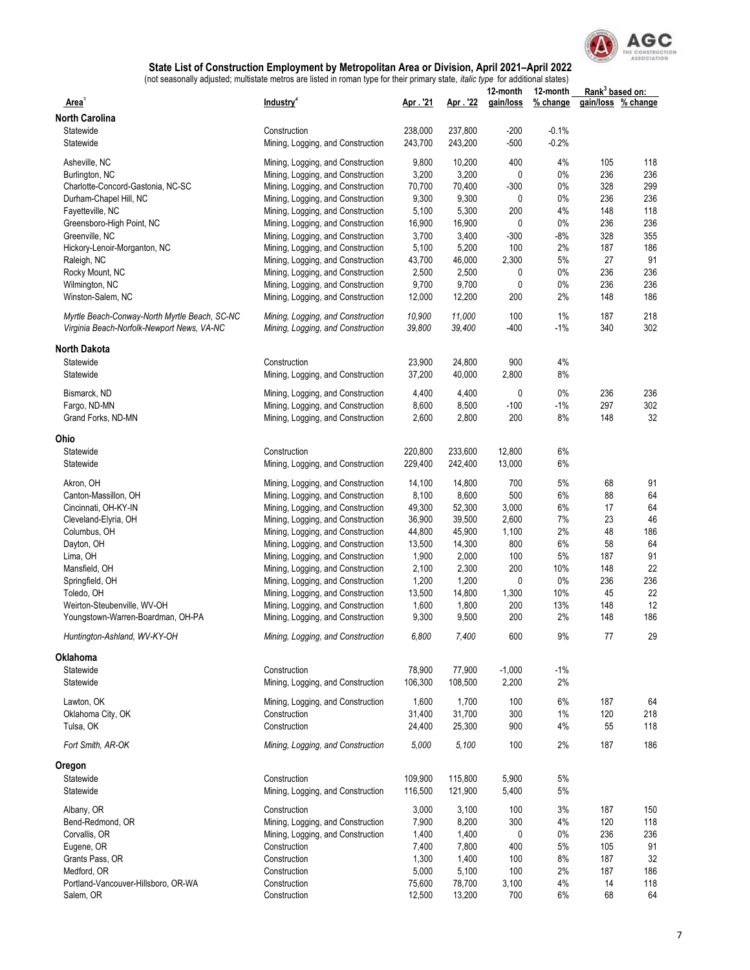

|                                               |                                   |         |          | 12-month  | 12-month | Rank <sup>3</sup> based on: |                    |
|-----------------------------------------------|-----------------------------------|---------|----------|-----------|----------|-----------------------------|--------------------|
| Area <sup>1</sup>                             | Industry <sup>2</sup>             | Apr. 21 | Apr. '22 | gain/loss | % change |                             | gain/loss % change |
| <b>North Carolina</b>                         |                                   |         |          |           |          |                             |                    |
| Statewide                                     | Construction                      | 238,000 | 237,800  | $-200$    | $-0.1%$  |                             |                    |
| Statewide                                     | Mining, Logging, and Construction | 243,700 | 243,200  | $-500$    | $-0.2%$  |                             |                    |
| Asheville, NC                                 | Mining, Logging, and Construction | 9,800   | 10,200   | 400       | 4%       | 105                         | 118                |
| Burlington, NC                                | Mining, Logging, and Construction | 3,200   | 3,200    | 0         | 0%       | 236                         | 236                |
| Charlotte-Concord-Gastonia, NC-SC             | Mining, Logging, and Construction | 70,700  | 70,400   | $-300$    | $0\%$    | 328                         | 299                |
| Durham-Chapel Hill, NC                        | Mining, Logging, and Construction | 9,300   | 9,300    | 0         | 0%       | 236                         | 236                |
|                                               |                                   |         |          |           |          |                             |                    |
| Fayetteville, NC                              | Mining, Logging, and Construction | 5,100   | 5,300    | 200       | 4%       | 148                         | 118                |
| Greensboro-High Point, NC                     | Mining, Logging, and Construction | 16,900  | 16,900   | 0         | 0%       | 236                         | 236                |
| Greenville, NC                                | Mining, Logging, and Construction | 3,700   | 3,400    | $-300$    | $-8%$    | 328                         | 355                |
| Hickory-Lenoir-Morganton, NC                  | Mining, Logging, and Construction | 5,100   | 5,200    | 100       | 2%       | 187                         | 186                |
| Raleigh, NC                                   | Mining, Logging, and Construction | 43,700  | 46,000   | 2,300     | 5%       | 27                          | 91                 |
| Rocky Mount, NC                               | Mining, Logging, and Construction | 2,500   | 2,500    | 0         | 0%       | 236                         | 236                |
| Wilmington, NC                                | Mining, Logging, and Construction | 9,700   | 9,700    | 0         | 0%       | 236                         | 236                |
| Winston-Salem, NC                             | Mining, Logging, and Construction | 12,000  | 12,200   | 200       | 2%       | 148                         | 186                |
| Myrtle Beach-Conway-North Myrtle Beach, SC-NC | Mining, Logging, and Construction | 10,900  | 11,000   | 100       | 1%       | 187                         | 218                |
| Virginia Beach-Norfolk-Newport News, VA-NC    | Mining, Logging, and Construction | 39,800  | 39,400   | $-400$    | $-1%$    | 340                         | 302                |
| <b>North Dakota</b>                           |                                   |         |          |           |          |                             |                    |
| Statewide                                     | Construction                      | 23,900  | 24,800   | 900       | 4%       |                             |                    |
| Statewide                                     | Mining, Logging, and Construction | 37,200  | 40,000   | 2,800     | 8%       |                             |                    |
|                                               |                                   |         |          |           |          |                             |                    |
| Bismarck, ND                                  | Mining, Logging, and Construction | 4,400   | 4,400    | 0         | $0\%$    | 236                         | 236                |
| Fargo, ND-MN                                  | Mining, Logging, and Construction | 8,600   | 8,500    | $-100$    | $-1%$    | 297                         | 302                |
| Grand Forks, ND-MN                            | Mining, Logging, and Construction | 2,600   | 2,800    | 200       | 8%       | 148                         | 32                 |
| Ohio                                          |                                   |         |          |           |          |                             |                    |
| Statewide                                     | Construction                      | 220,800 | 233,600  | 12,800    | 6%       |                             |                    |
| Statewide                                     | Mining, Logging, and Construction | 229,400 | 242,400  | 13,000    | 6%       |                             |                    |
| Akron, OH                                     | Mining, Logging, and Construction | 14,100  | 14,800   | 700       | 5%       | 68                          | 91                 |
|                                               |                                   |         |          |           |          |                             |                    |
| Canton-Massillon, OH                          | Mining, Logging, and Construction | 8,100   | 8,600    | 500       | 6%       | 88                          | 64                 |
| Cincinnati, OH-KY-IN                          | Mining, Logging, and Construction | 49,300  | 52,300   | 3,000     | 6%       | 17                          | 64                 |
| Cleveland-Elyria, OH                          | Mining, Logging, and Construction | 36,900  | 39,500   | 2,600     | 7%       | 23                          | 46                 |
| Columbus, OH                                  | Mining, Logging, and Construction | 44,800  | 45,900   | 1,100     | 2%       | 48                          | 186                |
| Dayton, OH                                    | Mining, Logging, and Construction | 13,500  | 14,300   | 800       | 6%       | 58                          | 64                 |
| Lima, OH                                      | Mining, Logging, and Construction | 1,900   | 2,000    | 100       | 5%       | 187                         | 91                 |
| Mansfield, OH                                 | Mining, Logging, and Construction | 2,100   | 2,300    | 200       | 10%      | 148                         | 22                 |
| Springfield, OH                               | Mining, Logging, and Construction | 1,200   | 1,200    | 0         | 0%       | 236                         | 236                |
| Toledo, OH                                    | Mining, Logging, and Construction | 13,500  | 14,800   | 1,300     | 10%      | 45                          | 22                 |
| Weirton-Steubenville, WV-OH                   | Mining, Logging, and Construction | 1,600   | 1,800    | 200       | 13%      | 148                         | 12                 |
|                                               |                                   |         |          | 200       | 2%       |                             | 186                |
| Youngstown-Warren-Boardman, OH-PA             | Mining, Logging, and Construction | 9,300   | 9,500    |           |          | 148                         |                    |
| Huntington-Ashland, WV-KY-OH                  | Mining, Logging, and Construction | 6,800   | 7,400    | 600       | $9\%$    | 77                          | 29                 |
| Oklahoma                                      |                                   |         |          |           |          |                             |                    |
| Statewide                                     | Construction                      | 78,900  | 77,900   | $-1,000$  | $-1%$    |                             |                    |
| Statewide                                     | Mining, Logging, and Construction | 106,300 | 108,500  | 2,200     | 2%       |                             |                    |
| Lawton, OK                                    | Mining, Logging, and Construction | 1,600   | 1,700    | 100       | 6%       | 187                         | 64                 |
| Oklahoma City, OK                             | Construction                      | 31,400  | 31,700   | 300       | 1%       | 120                         | 218                |
| Tulsa, OK                                     | Construction                      | 24,400  | 25,300   | 900       | 4%       | 55                          | 118                |
| Fort Smith, AR-OK                             | Mining, Logging, and Construction | 5,000   | 5,100    | 100       | 2%       | 187                         | 186                |
| Oregon                                        |                                   |         |          |           |          |                             |                    |
| Statewide                                     | Construction                      | 109,900 | 115,800  | 5,900     | 5%       |                             |                    |
| Statewide                                     | Mining, Logging, and Construction | 116,500 | 121,900  | 5,400     | 5%       |                             |                    |
| Albany, OR                                    | Construction                      | 3,000   | 3,100    | 100       | 3%       | 187                         | 150                |
| Bend-Redmond, OR                              | Mining, Logging, and Construction | 7,900   | 8,200    | 300       | 4%       | 120                         | 118                |
| Corvallis, OR                                 | Mining, Logging, and Construction | 1,400   | 1,400    | 0         | 0%       | 236                         | 236                |
| Eugene, OR                                    | Construction                      | 7,400   | 7,800    | 400       | 5%       | 105                         | 91                 |
|                                               |                                   | 1,300   | 1,400    | 100       | 8%       | 187                         |                    |
| Grants Pass, OR                               | Construction                      |         |          |           |          |                             | 32                 |
| Medford, OR                                   | Construction                      | 5,000   | 5,100    | 100       | 2%       | 187                         | 186                |
| Portland-Vancouver-Hillsboro, OR-WA           | Construction                      | 75,600  | 78,700   | 3,100     | 4%       | 14                          | 118                |
| Salem, OR                                     | Construction                      | 12,500  | 13,200   | 700       | 6%       | 68                          | 64                 |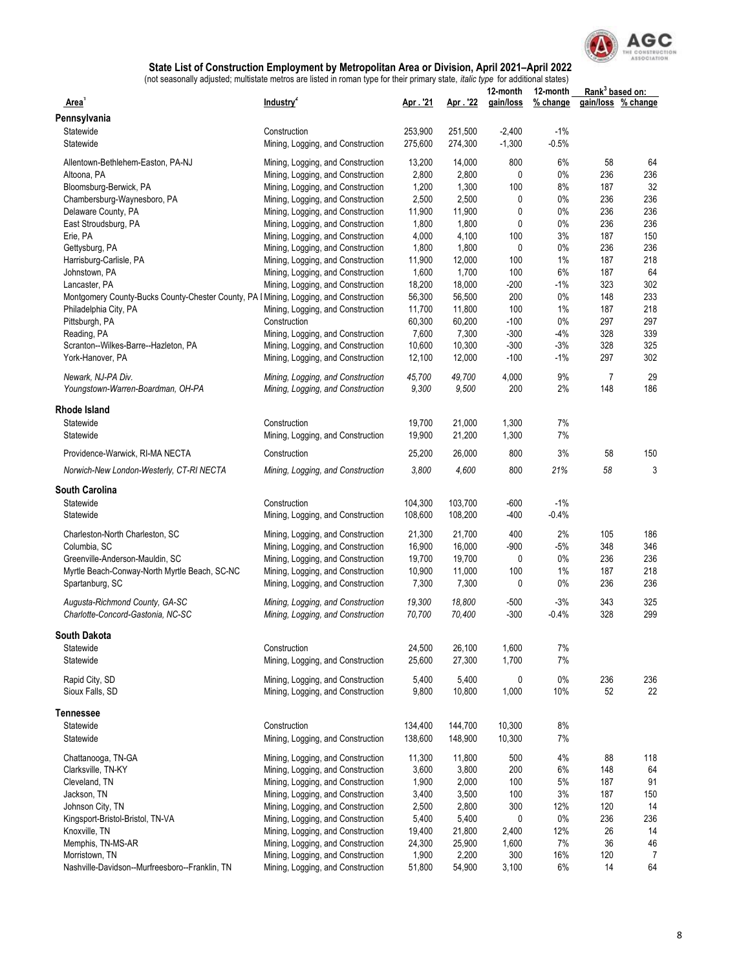

|                                                                                                        |                                                                        |                 |                 | 12-month      | 12-month    | Rank <sup>3</sup> based on: |                    |
|--------------------------------------------------------------------------------------------------------|------------------------------------------------------------------------|-----------------|-----------------|---------------|-------------|-----------------------------|--------------------|
| Area'                                                                                                  | Industry <sup>2</sup>                                                  | Apr. '21        | Apr. 22         | gain/loss     | % change    |                             | gain/loss % change |
| Pennsylvania                                                                                           |                                                                        |                 |                 |               |             |                             |                    |
| Statewide                                                                                              | Construction                                                           | 253,900         | 251,500         | $-2,400$      | $-1%$       |                             |                    |
| Statewide                                                                                              | Mining, Logging, and Construction                                      | 275,600         | 274,300         | $-1,300$      | $-0.5%$     |                             |                    |
| Allentown-Bethlehem-Easton, PA-NJ                                                                      | Mining, Logging, and Construction                                      | 13,200          | 14,000          | 800           | 6%          | 58                          | 64                 |
| Altoona, PA                                                                                            | Mining, Logging, and Construction                                      | 2,800           | 2,800           | 0             | $0\%$       | 236                         | 236                |
| Bloomsburg-Berwick, PA                                                                                 | Mining, Logging, and Construction                                      | 1,200           | 1,300           | 100           | 8%          | 187                         | 32                 |
| Chambersburg-Waynesboro, PA                                                                            | Mining, Logging, and Construction                                      | 2,500           | 2,500           | 0             | $0\%$       | 236                         | 236                |
| Delaware County, PA                                                                                    | Mining, Logging, and Construction                                      | 11,900          | 11,900          | 0             | $0\%$       | 236                         | 236                |
| East Stroudsburg, PA                                                                                   | Mining, Logging, and Construction                                      | 1,800           | 1,800           | 0             | 0%          | 236                         | 236                |
| Erie, PA                                                                                               | Mining, Logging, and Construction                                      | 4,000           | 4,100           | 100           | 3%          | 187                         | 150                |
| Gettysburg, PA                                                                                         | Mining, Logging, and Construction                                      | 1,800           | 1,800           | 0             | $0\%$       | 236                         | 236                |
| Harrisburg-Carlisle, PA                                                                                | Mining, Logging, and Construction                                      | 11,900          | 12,000          | 100           | 1%          | 187                         | 218                |
| Johnstown, PA                                                                                          | Mining, Logging, and Construction                                      | 1,600<br>18,200 | 1,700<br>18,000 | 100<br>$-200$ | 6%<br>$-1%$ | 187<br>323                  | 64<br>302          |
| Lancaster, PA<br>Montgomery County-Bucks County-Chester County, PA   Mining, Logging, and Construction | Mining, Logging, and Construction                                      | 56,300          | 56,500          | 200           | 0%          | 148                         | 233                |
| Philadelphia City, PA                                                                                  | Mining, Logging, and Construction                                      | 11,700          | 11,800          | 100           | 1%          | 187                         | 218                |
| Pittsburgh, PA                                                                                         | Construction                                                           | 60,300          | 60,200          | $-100$        | $0\%$       | 297                         | 297                |
| Reading, PA                                                                                            | Mining, Logging, and Construction                                      | 7,600           | 7,300           | $-300$        | $-4%$       | 328                         | 339                |
| Scranton--Wilkes-Barre--Hazleton, PA                                                                   | Mining, Logging, and Construction                                      | 10,600          | 10,300          | $-300$        | $-3%$       | 328                         | 325                |
| York-Hanover, PA                                                                                       | Mining, Logging, and Construction                                      | 12,100          | 12,000          | $-100$        | $-1%$       | 297                         | 302                |
|                                                                                                        |                                                                        |                 |                 |               |             |                             |                    |
| Newark. NJ-PA Div.                                                                                     | Mining, Logging, and Construction                                      | 45,700          | 49,700          | 4,000         | 9%          | $\overline{7}$              | 29<br>186          |
| Youngstown-Warren-Boardman, OH-PA                                                                      | Mining, Logging, and Construction                                      | 9,300           | 9,500           | 200           | 2%          | 148                         |                    |
| <b>Rhode Island</b>                                                                                    |                                                                        |                 |                 |               |             |                             |                    |
| Statewide                                                                                              | Construction                                                           | 19,700          | 21,000          | 1,300         | 7%          |                             |                    |
| Statewide                                                                                              | Mining, Logging, and Construction                                      | 19,900          | 21,200          | 1,300         | 7%          |                             |                    |
| Providence-Warwick, RI-MA NECTA                                                                        | Construction                                                           | 25,200          | 26,000          | 800           | 3%          | 58                          | 150                |
| Norwich-New London-Westerly, CT-RI NECTA                                                               | Mining, Logging, and Construction                                      | 3,800           | 4,600           | 800           | 21%         | 58                          | 3                  |
| <b>South Carolina</b>                                                                                  |                                                                        |                 |                 |               |             |                             |                    |
| Statewide                                                                                              | Construction                                                           | 104,300         | 103,700         | $-600$        | $-1%$       |                             |                    |
| Statewide                                                                                              | Mining, Logging, and Construction                                      | 108,600         | 108,200         | $-400$        | $-0.4%$     |                             |                    |
|                                                                                                        |                                                                        |                 |                 |               |             |                             |                    |
| Charleston-North Charleston, SC                                                                        | Mining, Logging, and Construction                                      | 21,300          | 21,700          | 400           | 2%          | 105                         | 186                |
| Columbia, SC                                                                                           | Mining, Logging, and Construction                                      | 16,900          | 16,000          | $-900$        | $-5%$       | 348                         | 346                |
| Greenville-Anderson-Mauldin, SC                                                                        | Mining, Logging, and Construction                                      | 19,700          | 19,700          | 0             | $0\%$       | 236                         | 236                |
| Myrtle Beach-Conway-North Myrtle Beach, SC-NC                                                          | Mining, Logging, and Construction                                      | 10,900          | 11,000          | 100           | $1\%$       | 187                         | 218<br>236         |
| Spartanburg, SC                                                                                        | Mining, Logging, and Construction                                      | 7,300           | 7,300           | 0             | $0\%$       | 236                         |                    |
| Augusta-Richmond County, GA-SC                                                                         | Mining, Logging, and Construction                                      | 19,300          | 18,800          | -500          | $-3%$       | 343                         | 325                |
| Charlotte-Concord-Gastonia, NC-SC                                                                      | Mining, Logging, and Construction                                      | 70,700          | 70,400          | $-300$        | $-0.4%$     | 328                         | 299                |
| South Dakota                                                                                           |                                                                        |                 |                 |               |             |                             |                    |
| Statewide                                                                                              | Construction                                                           | 24,500          | 26,100          | 1,600         | 7%          |                             |                    |
| Statewide                                                                                              | Mining, Logging, and Construction                                      | 25,600          | 27,300          | 1,700         | 7%          |                             |                    |
| Rapid City, SD                                                                                         | Mining, Logging, and Construction                                      | 5,400           | 5,400           | 0             | $0\%$       | 236                         | 236                |
| Sioux Falls, SD                                                                                        | Mining, Logging, and Construction                                      | 9,800           | 10,800          | 1,000         | 10%         | 52                          | 22                 |
| <b>Tennessee</b>                                                                                       |                                                                        |                 |                 |               |             |                             |                    |
| Statewide                                                                                              | Construction                                                           | 134,400         | 144,700         | 10,300        | 8%          |                             |                    |
| Statewide                                                                                              | Mining, Logging, and Construction                                      | 138,600         | 148,900         | 10,300        | 7%          |                             |                    |
|                                                                                                        |                                                                        |                 |                 |               |             |                             |                    |
| Chattanooga, TN-GA                                                                                     | Mining, Logging, and Construction                                      | 11,300          | 11,800          | 500           | 4%          | 88                          | 118                |
| Clarksville, TN-KY                                                                                     | Mining, Logging, and Construction                                      | 3,600           | 3,800           | 200           | 6%          | 148                         | 64                 |
| Cleveland, TN                                                                                          | Mining, Logging, and Construction                                      | 1,900           | 2,000           | 100           | 5%          | 187                         | 91                 |
| Jackson, TN                                                                                            | Mining, Logging, and Construction                                      | 3,400           | 3,500           | 100           | 3%          | 187                         | 150                |
| Johnson City, TN                                                                                       | Mining, Logging, and Construction                                      | 2,500           | 2,800           | 300           | 12%         | 120                         | 14                 |
| Kingsport-Bristol-Bristol, TN-VA                                                                       | Mining, Logging, and Construction                                      | 5,400           | 5,400           | 0             | 0%          | 236                         | 236                |
| Knoxville, TN                                                                                          | Mining, Logging, and Construction                                      | 19,400          | 21,800          | 2,400         | 12%         | 26                          | 14                 |
| Memphis, TN-MS-AR                                                                                      | Mining, Logging, and Construction                                      | 24,300<br>1,900 | 25,900<br>2,200 | 1,600<br>300  | 7%<br>16%   | 36<br>120                   | 46                 |
| Morristown, TN<br>Nashville-Davidson--Murfreesboro--Franklin, TN                                       | Mining, Logging, and Construction<br>Mining, Logging, and Construction | 51,800          | 54,900          | 3,100         | 6%          | 14                          | 7<br>64            |
|                                                                                                        |                                                                        |                 |                 |               |             |                             |                    |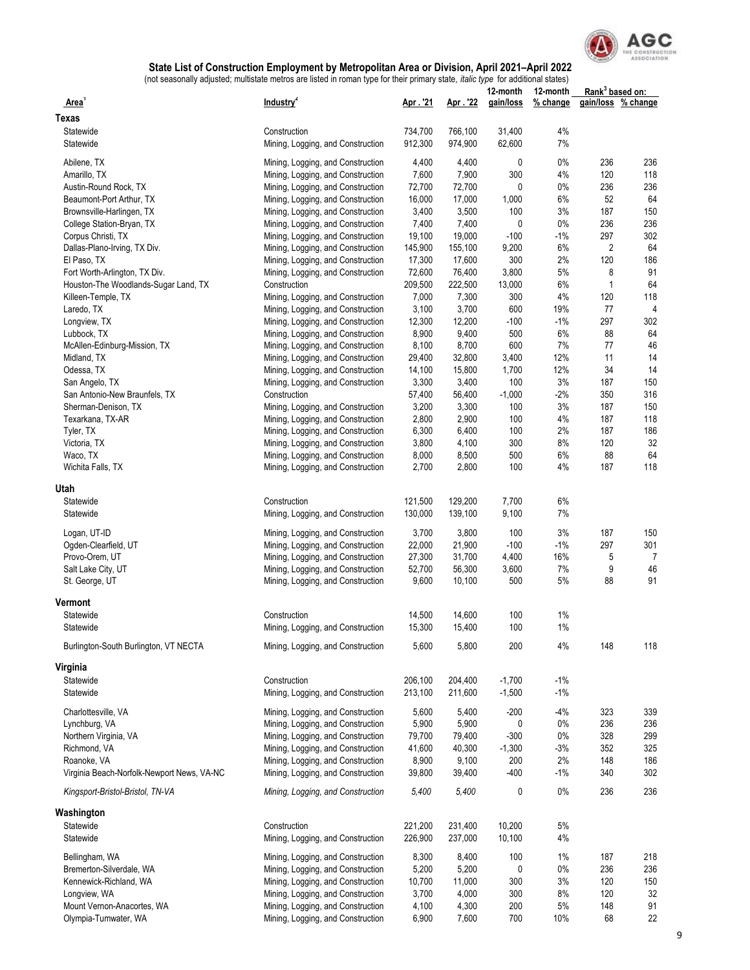

|                                            |                                   |         |         | 12-month  | 12-month |              | Rank <sup>3</sup> based on: |  |
|--------------------------------------------|-----------------------------------|---------|---------|-----------|----------|--------------|-----------------------------|--|
| Area'                                      | Industry <sup>2</sup>             | Apr. 21 | Apr. 22 | gain/loss | % change |              | gain/loss % change          |  |
| Texas                                      |                                   |         |         |           |          |              |                             |  |
| Statewide                                  | Construction                      | 734,700 | 766,100 | 31,400    | 4%       |              |                             |  |
| Statewide                                  | Mining, Logging, and Construction | 912,300 | 974,900 | 62,600    | 7%       |              |                             |  |
|                                            |                                   |         |         |           |          |              |                             |  |
| Abilene, TX                                | Mining, Logging, and Construction | 4,400   | 4,400   | 0         | $0\%$    | 236          | 236                         |  |
| Amarillo, TX                               | Mining, Logging, and Construction | 7,600   | 7,900   | 300       | 4%       | 120          | 118                         |  |
| Austin-Round Rock, TX                      | Mining, Logging, and Construction | 72,700  | 72,700  | 0         | $0\%$    | 236          | 236                         |  |
| Beaumont-Port Arthur, TX                   | Mining, Logging, and Construction | 16,000  | 17,000  | 1,000     | 6%       | 52           | 64                          |  |
| Brownsville-Harlingen, TX                  | Mining, Logging, and Construction | 3,400   | 3,500   | 100       | 3%       | 187          | 150                         |  |
| College Station-Bryan, TX                  | Mining, Logging, and Construction | 7,400   | 7,400   | 0         | $0\%$    | 236          | 236                         |  |
| Corpus Christi, TX                         | Mining, Logging, and Construction | 19,100  | 19,000  | $-100$    | $-1%$    | 297          | 302                         |  |
| Dallas-Plano-Irving, TX Div.               | Mining, Logging, and Construction | 145,900 | 155,100 | 9,200     | 6%       | 2            | 64                          |  |
| El Paso, TX                                | Mining, Logging, and Construction | 17,300  | 17,600  | 300       | 2%       | 120          | 186                         |  |
| Fort Worth-Arlington, TX Div.              | Mining, Logging, and Construction | 72,600  | 76,400  | 3,800     | 5%       | 8            | 91                          |  |
| Houston-The Woodlands-Sugar Land, TX       | Construction                      | 209,500 | 222,500 | 13,000    | 6%       | $\mathbf{1}$ | 64                          |  |
| Killeen-Temple, TX                         | Mining, Logging, and Construction | 7,000   | 7,300   | 300       | 4%       | 120          | 118                         |  |
| Laredo, TX                                 | Mining, Logging, and Construction | 3,100   | 3,700   | 600       | 19%      | 77           | 4                           |  |
| Longview, TX                               | Mining, Logging, and Construction | 12,300  | 12,200  | $-100$    | $-1%$    | 297          | 302                         |  |
| Lubbock, TX                                | Mining, Logging, and Construction | 8,900   | 9,400   | 500       | 6%       | 88           | 64                          |  |
| McAllen-Edinburg-Mission, TX               | Mining, Logging, and Construction | 8,100   | 8,700   | 600       | 7%       | 77           | 46                          |  |
| Midland, TX                                | Mining, Logging, and Construction | 29,400  | 32,800  | 3,400     | 12%      | 11           | 14                          |  |
| Odessa, TX                                 | Mining, Logging, and Construction | 14,100  | 15,800  | 1,700     | 12%      | 34           | 14                          |  |
| San Angelo, TX                             | Mining, Logging, and Construction | 3,300   | 3,400   | 100       | 3%       | 187          | 150                         |  |
| San Antonio-New Braunfels, TX              | Construction                      | 57,400  | 56,400  | $-1,000$  | $-2%$    | 350          | 316                         |  |
|                                            |                                   | 3,200   | 3,300   | 100       | 3%       | 187          | 150                         |  |
| Sherman-Denison, TX                        | Mining, Logging, and Construction |         |         |           |          |              |                             |  |
| Texarkana, TX-AR                           | Mining, Logging, and Construction | 2,800   | 2,900   | 100       | 4%       | 187          | 118                         |  |
| Tyler, TX                                  | Mining, Logging, and Construction | 6,300   | 6,400   | 100       | 2%       | 187          | 186                         |  |
| Victoria, TX                               | Mining, Logging, and Construction | 3,800   | 4,100   | 300       | 8%       | 120          | 32                          |  |
| Waco, TX                                   | Mining, Logging, and Construction | 8,000   | 8,500   | 500       | 6%       | 88           | 64                          |  |
| Wichita Falls, TX                          | Mining, Logging, and Construction | 2,700   | 2,800   | 100       | 4%       | 187          | 118                         |  |
| Utah                                       |                                   |         |         |           |          |              |                             |  |
|                                            |                                   |         |         |           |          |              |                             |  |
| Statewide                                  | Construction                      | 121,500 | 129,200 | 7,700     | 6%       |              |                             |  |
| Statewide                                  | Mining, Logging, and Construction | 130,000 | 139,100 | 9,100     | 7%       |              |                             |  |
| Logan, UT-ID                               | Mining, Logging, and Construction | 3,700   | 3,800   | 100       | 3%       | 187          | 150                         |  |
| Ogden-Clearfield, UT                       | Mining, Logging, and Construction | 22,000  | 21,900  | $-100$    | -1%      | 297          | 301                         |  |
| Provo-Orem, UT                             | Mining, Logging, and Construction | 27,300  | 31,700  | 4,400     | 16%      | 5            | 7                           |  |
| Salt Lake City, UT                         | Mining, Logging, and Construction | 52,700  | 56,300  | 3,600     | 7%       | 9            | 46                          |  |
| St. George, UT                             | Mining, Logging, and Construction | 9,600   | 10,100  | 500       | 5%       | 88           | 91                          |  |
|                                            |                                   |         |         |           |          |              |                             |  |
| Vermont                                    |                                   |         |         |           |          |              |                             |  |
| Statewide                                  | Construction                      | 14,500  | 14,600  | 100       | 1%       |              |                             |  |
| Statewide                                  | Mining, Logging, and Construction | 15,300  | 15,400  | 100       | 1%       |              |                             |  |
|                                            |                                   |         |         |           |          |              |                             |  |
| Burlington-South Burlington, VT NECTA      | Mining, Logging, and Construction | 5,600   | 5,800   | 200       | 4%       | 148          | 118                         |  |
|                                            |                                   |         |         |           |          |              |                             |  |
| Virginia                                   |                                   |         |         |           |          |              |                             |  |
| Statewide                                  | Construction                      | 206,100 | 204,400 | $-1,700$  | $-1%$    |              |                             |  |
| Statewide                                  | Mining, Logging, and Construction | 213,100 | 211,600 | $-1,500$  | $-1%$    |              |                             |  |
| Charlottesville, VA                        | Mining, Logging, and Construction | 5,600   | 5,400   | $-200$    | $-4%$    | 323          | 339                         |  |
| Lynchburg, VA                              | Mining, Logging, and Construction | 5,900   | 5,900   | 0         | 0%       | 236          | 236                         |  |
| Northern Virginia, VA                      | Mining, Logging, and Construction | 79,700  | 79,400  | $-300$    | $0\%$    | 328          | 299                         |  |
| Richmond, VA                               | Mining, Logging, and Construction | 41,600  | 40,300  | $-1,300$  | $-3%$    | 352          | 325                         |  |
|                                            |                                   |         |         |           |          |              |                             |  |
| Roanoke, VA                                | Mining, Logging, and Construction | 8,900   | 9,100   | 200       | 2%       | 148          | 186                         |  |
| Virginia Beach-Norfolk-Newport News, VA-NC | Mining, Logging, and Construction | 39,800  | 39,400  | $-400$    | -1%      | 340          | 302                         |  |
| Kingsport-Bristol-Bristol, TN-VA           | Mining, Logging, and Construction | 5,400   | 5,400   | 0         | 0%       | 236          | 236                         |  |
| Washington                                 |                                   |         |         |           |          |              |                             |  |
| Statewide                                  | Construction                      | 221,200 | 231,400 | 10,200    | $5\%$    |              |                             |  |
| Statewide                                  | Mining, Logging, and Construction | 226,900 | 237,000 | 10,100    | 4%       |              |                             |  |
|                                            |                                   |         |         |           |          |              |                             |  |
| Bellingham, WA                             | Mining, Logging, and Construction | 8,300   | 8,400   | 100       | 1%       | 187          | 218                         |  |
| Bremerton-Silverdale, WA                   | Mining, Logging, and Construction | 5,200   | 5,200   | 0         | 0%       | 236          | 236                         |  |
| Kennewick-Richland, WA                     | Mining, Logging, and Construction | 10,700  | 11,000  | 300       | 3%       | 120          | 150                         |  |
| Longview, WA                               | Mining, Logging, and Construction | 3,700   | 4,000   | 300       | 8%       | 120          | 32                          |  |
| Mount Vernon-Anacortes, WA                 | Mining, Logging, and Construction | 4,100   | 4,300   | 200       | 5%       | 148          | 91                          |  |
| Olympia-Tumwater, WA                       | Mining, Logging, and Construction | 6,900   | 7,600   | 700       | 10%      | 68           | 22                          |  |
|                                            |                                   |         |         |           |          |              |                             |  |